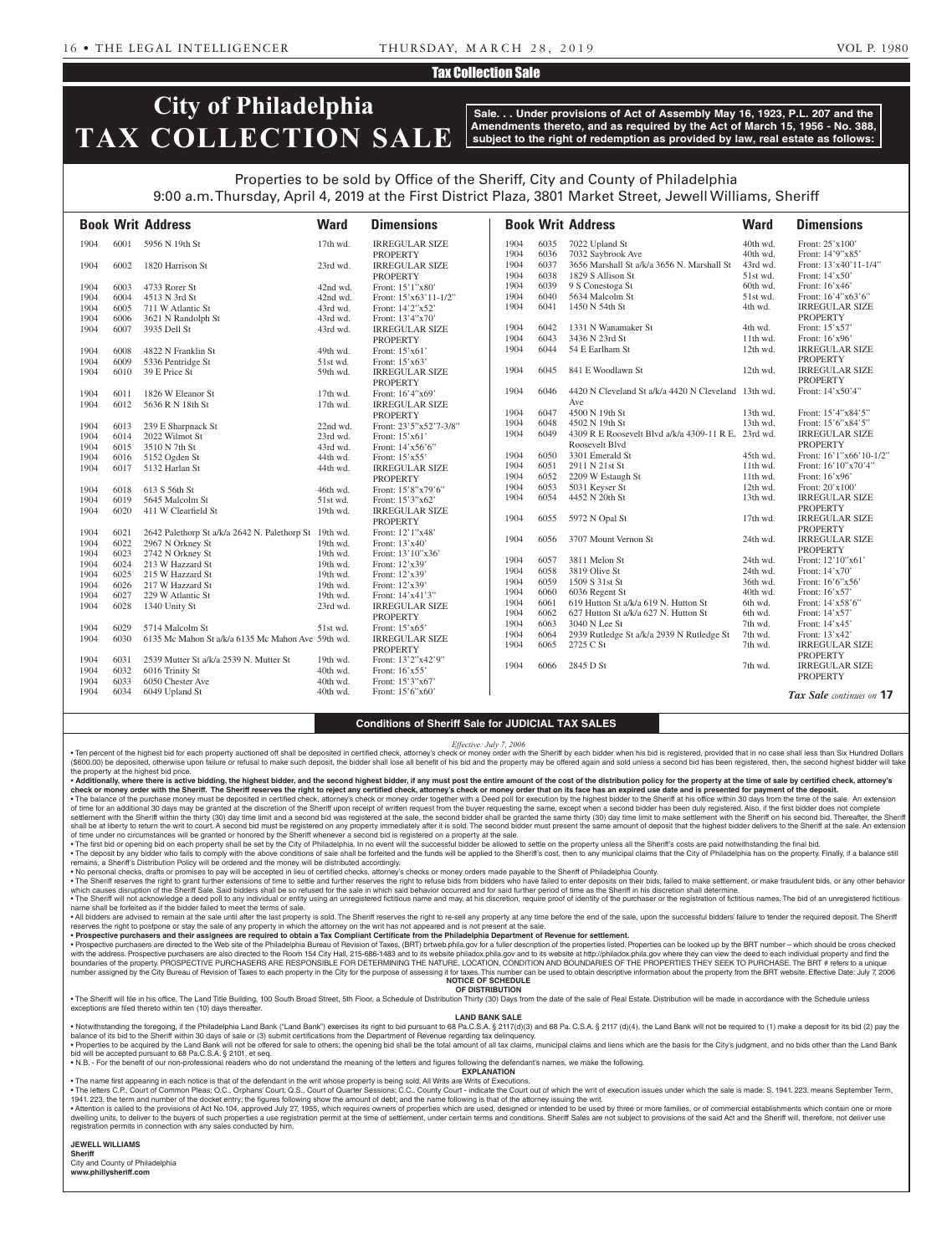## Tax Collection Sale

# **City of Philadelphia TAX COLLECTION SALE**

**Sale. . . Under provisions of Act of Assembly May 16, 1923, P.L. 207 and the Amendments thereto, and as required by the Act of March 15, 1956 - No. 388, subject to the right of redemption as provided by law, real estate as follows:**

## Properties to be sold by Office of the Sheriff, City and County of Philadelphia 9:00 a.m. Thursday, April 4, 2019 at the First District Plaza, 3801 Market Street, Jewell Williams, Sheriff

|      |      | <b>Book Writ Address</b>                              | <b>Ward</b> | <b>Dimensions</b>       |              |              | <b>Book Writ Address</b>                                                     | <b>Ward</b>          | <b>Dimensions</b>                  |
|------|------|-------------------------------------------------------|-------------|-------------------------|--------------|--------------|------------------------------------------------------------------------------|----------------------|------------------------------------|
| 1904 | 6001 | 5956 N 19th St                                        | 17th wd.    | <b>IRREGULAR SIZE</b>   | 1904         | 6035         | 7022 Upland St                                                               | 40th wd.             | Front: 25'x100'                    |
|      |      |                                                       |             | <b>PROPERTY</b>         | 1904         | 6036         | 7032 Saybrook Ave                                                            | 40th wd.             | Front: 14'9"x85'                   |
| 1904 | 6002 | 1820 Harrison St                                      | 23rd wd.    | <b>IRREGULAR SIZE</b>   | 1904         | 6037         | 3656 Marshall St a/k/a 3656 N. Marshall St                                   | 43rd wd.             | Front: 13'x40'11-1/4"              |
|      |      |                                                       |             | <b>PROPERTY</b>         | 1904         | 6038         | 1829 S Allison St                                                            | 51st wd.             | Front: 14'x50'                     |
| 1904 | 6003 | 4733 Rorer St                                         | 42nd wd.    | Front: 15'1"x80'        | 1904         | 6039         | 9 S Conestoga St                                                             | 60th wd.             | Front: 16'x46'                     |
| 1904 | 6004 | 4513 N 3rd St                                         | 42nd wd.    | Front: $15'x63'11-1/2"$ | 1904         | 6040         | 5634 Malcolm St                                                              | 51st wd.             | Front: 16'4"x63'6"                 |
| 1904 | 6005 | 711 W Atlantic St                                     | 43rd wd.    | Front: 14'2"x52'        | 1904         | 6041         | 1450 N 54th St                                                               | 4th wd.              | <b>IRREGULAR SIZE</b>              |
| 1904 | 6006 | 3621 N Randolph St                                    | 43rd wd.    | Front: 13'4"x70'        |              |              |                                                                              |                      | <b>PROPERTY</b>                    |
| 1904 | 6007 | 3935 Dell St                                          | 43rd wd.    | <b>IRREGULAR SIZE</b>   | 1904         | 6042         | 1331 N Wanamaker St                                                          | 4th wd.              | Front: 15'x57'                     |
|      |      |                                                       |             | <b>PROPERTY</b>         | 1904         | 6043         | 3436 N 23rd St                                                               | 11th wd.             | Front: 16'x96'                     |
| 1904 | 6008 | 4822 N Franklin St                                    | 49th wd.    | Front: 15'x61'          | 1904         | 6044         | 54 E Earlham St                                                              | 12th wd.             | <b>IRREGULAR SIZE</b>              |
| 1904 | 6009 | 5336 Pentridge St                                     | 51st wd.    | Front: $15'x63'$        |              |              |                                                                              |                      | <b>PROPERTY</b>                    |
| 1904 | 6010 | 39 E Price St                                         | 59th wd.    | <b>IRREGULAR SIZE</b>   | 1904         | 6045         | 841 E Woodlawn St                                                            | 12th wd.             | <b>IRREGULAR SIZE</b>              |
|      |      |                                                       |             | <b>PROPERTY</b>         |              |              |                                                                              |                      | <b>PROPERTY</b>                    |
| 1904 | 6011 | 1826 W Eleanor St                                     | 17th wd.    | Front: 16'4"x69'        | 1904         | 6046         | 4420 N Cleveland St a/k/a 4420 N Cleveland 13th wd.                          |                      | Front: 14'x50'4"                   |
| 1904 | 6012 | 5636 R N 18th St                                      | $17th$ wd.  | <b>IRREGULAR SIZE</b>   |              |              | Ave                                                                          |                      |                                    |
|      |      |                                                       |             | <b>PROPERTY</b>         | 1904         | 6047         | 4500 N 19th St                                                               | 13th wd.             | Front: 15'4"x84'5"                 |
| 1904 | 6013 | 239 E Sharpnack St                                    | 22nd wd.    | Front: 23'5"x52'7-3/8"  | 1904         | 6048         | 4502 N 19th St                                                               | 13th wd.             | Front: 15'6"x84'5"                 |
| 1904 | 6014 | 2022 Wilmot St                                        | 23rd wd.    | Front: 15'x61           | 1904         | 6049         | 4309 R E Roosevelt Blvd a/k/a 4309-11 R E. 23rd wd.                          |                      | <b>IRREGULAR SIZE</b>              |
| 1904 | 6015 | 3510 N 7th St                                         | 43rd wd.    | Front: 14'x56'6"        |              |              | Roosevelt Blvd                                                               |                      | <b>PROPERTY</b>                    |
| 1904 | 6016 | 5152 Ogden St                                         | 44th wd.    | Front: 15'x55'          | 1904         | 6050         | 3301 Emerald St                                                              | 45th wd.             | Front: 16'1"x66'10-1/2"            |
| 1904 | 6017 | 5132 Harlan St                                        | 44th wd.    | <b>IRREGULAR SIZE</b>   | 1904         | 6051         | 2911 N 21st St                                                               | 11th wd.             | Front: 16'10"x70'4"                |
|      |      |                                                       |             | <b>PROPERTY</b>         | 1904         | 6052         | 2209 W Estaugh St                                                            | 11th wd.             | Front: 16'x96'                     |
| 1904 | 6018 | 613 S 56th St                                         | 46th wd.    | Front: 15'8"x79'6"      | 1904         | 6053         | 5031 Keyser St                                                               | 12th wd.             | Front: 20'x100'                    |
| 1904 | 6019 | 5645 Malcolm St                                       | 51st wd.    | Front: 15'3"x62"        | 1904         | 6054         | 4452 N 20th St                                                               | 13th wd.             | <b>IRREGULAR SIZE</b>              |
| 1904 | 6020 | 411 W Clearfield St                                   | 19th wd.    | <b>IRREGULAR SIZE</b>   |              |              |                                                                              |                      | <b>PROPERTY</b>                    |
|      |      |                                                       |             | <b>PROPERTY</b>         | 1904         | 6055         | 5972 N Opal St                                                               | 17th wd.             | <b>IRREGULAR SIZE</b>              |
| 1904 | 6021 | 2642 Palethorp St a/k/a 2642 N. Palethorp St 19th wd. |             | Front: 12'1"x48'        |              |              |                                                                              |                      | <b>PROPERTY</b>                    |
| 1904 | 6022 | 2967 N Orkney St                                      | 19th wd.    | Front: 13'x40'          | 1904         | 6056         | 3707 Mount Vernon St                                                         | 24th wd.             | <b>IRREGULAR SIZE</b>              |
| 1904 | 6023 | 2742 N Orkney St                                      | 19th wd.    | Front: 13'10"x36'       |              |              |                                                                              |                      | <b>PROPERTY</b>                    |
| 1904 | 6024 | 213 W Hazzard St                                      | 19th wd.    | Front: 12'x39'          | 1904         | 6057         | 3811 Melon St                                                                | 24th wd.             | Front: 12'10"x61'                  |
| 1904 | 6025 | 215 W Hazzard St                                      | 19th wd.    | Front: 12'x39'          | 1904<br>1904 | 6058         | 3819 Olive St                                                                | 24th wd.             | Front: $14'x70'$                   |
| 1904 | 6026 | 217 W Hazzard St                                      | 19th wd.    | Front: 12'x39'          | 1904         | 6059<br>6060 | 1509 S 31st St                                                               | 36th wd.<br>40th wd. | Front: 16'6"x56'                   |
| 1904 | 6027 | 229 W Atlantic St                                     | 19th wd.    | Front: 14'x41'3"        |              |              | 6036 Regent St                                                               |                      | Front: $16'x57'$                   |
| 1904 | 6028 | 1340 Unity St                                         | 23rd wd.    | <b>IRREGULAR SIZE</b>   | 1904<br>1904 | 6061<br>6062 | 619 Hutton St a/k/a 619 N. Hutton St<br>627 Hutton St a/k/a 627 N. Hutton St | 6th wd.<br>6th wd.   | Front: 14'x58'6"<br>Front: 14'x57' |
|      |      |                                                       |             | <b>PROPERTY</b>         | 1904         | 6063         | 3040 N Lee St                                                                | 7th wd.              |                                    |
| 1904 | 6029 | 5714 Malcolm St                                       | 51st wd.    | Front: 15'x65'          | 1904         | 6064         | 2939 Rutledge St a/k/a 2939 N Rutledge St                                    | 7th wd.              | Front: $14'x45'$<br>Front: 13'x42' |
| 1904 | 6030 | 6135 Mc Mahon St a/k/a 6135 Mc Mahon Ave 59th wd.     |             | <b>IRREGULAR SIZE</b>   | 1904         | 6065         | 2725 C St                                                                    | 7th wd.              | <b>IRREGULAR SIZE</b>              |
|      |      |                                                       |             | <b>PROPERTY</b>         |              |              |                                                                              |                      | <b>PROPERTY</b>                    |
| 1904 | 6031 | 2539 Mutter St a/k/a 2539 N. Mutter St                | 19th wd.    | Front: 13'2"x42'9"      | 1904         | 6066         | 2845 D St                                                                    | 7th wd.              | <b>IRREGULAR SIZE</b>              |
| 1904 | 6032 | 6016 Trinity St                                       | 40th wd.    | Front: 16'x55'          |              |              |                                                                              |                      | <b>PROPERTY</b>                    |
| 1904 | 6033 | 6050 Chester Ave                                      | 40th wd.    | Front: 15'3"x67'        |              |              |                                                                              |                      |                                    |
| 1904 | 6034 | 6049 Upland St                                        | 40th wd.    | Front: 15'6"x60"        |              |              |                                                                              |                      | Tax Sale continues on 17           |

### **Conditions of Sheriff Sale for JUDICIAL TAX SALES**

*Effective: July 7, 2006*

Ten percent of the highest bid for each property auctioned off shall be deposited in certified check, attorney's check or money order with the Sheriff by each bidder when his bid is registered, provided that in no case sha (\$600.00) be deposited, otherwise upon failure or refusal to make such deposit, the bidder shall lose all benefit of his bid and the property may be offered again and sold unless a second bid has been registered, then, the the property at the highest bid price.

. Additionally, where there is active bidding, the highest bidder, and the second highest bidder, if any must post the entire amount of the cost of the distribution policy for the property at the time of sale by certified check or money order with the Sheriff. The Sheriff reserves the right to reject any certified check, attorney's check or money order that on its face has an expired use date and is presented for payment of the deposit.<br>• T of time for an additional 30 days may be granted at the discretion of the Sheriff upon receipt of written request from the buyer requesting the same, except when a second bidder has been duly registered. Also, if the first settlement with the Sheriff within the thirty (30) day time limit and a second bid was registered at the sale, the second bidder shall be granted the same thirty (30) day time limit to make settlement with the Sheriff on h

shall be at liberty to return the writ to court. A second bid must be registered on any property immediately after it is sold. The second bidder must present the same amount of deposit that the highest bidder delivers to t of time under no circumstances will be granted or honored by the Sheriff whenever a second bid is registered on a property at the sale.<br>• The first bid or opening bid on each property shall be set by the City of Philadelph

. The deposit by any bidder who fails to comply with the above conditions of sale shall be forfeited and the funds will be applied to the Sheriff's cost, then to any municipal claims that the City of Philadelphia has on th remains, a Sheriff's Distribution Policy will be ordered and the money will be distributed accordingly.

• No personal checks, drafts or promises to pay will be accepted in lieu of certified checks, attorney's checks or money orders made payable to the Sheriff of Philadelphia County.

• The Sheriff reserves the right to grant further extensions of time to settle and further reserves the right to refuse bids from bidders who have failed to enter deposits on their bids, failed to make settlement, or make . The Sheriff will not acknowledge a deed poll to any individual or entity using an unregistered fictitious name and may, at his discretion, require proof of identity of the purchaser or the registration of fictitious name

name shall be forfeited as if the bidder failed to meet the terms of sale. . All bidders are advised to remain at the sale until after the last property is sold. The Sheriff reserves the right to re-sell any property at any time before the end of the sale, upon the successful bidders' failure to

reserves the right to postpone or stay the sale of any property in which the attorney on the writ has not appeared and is not present at the sale

• Prospective purchasers and their assignees are required to obtain a Tax Compliant Certificate from the Philadelphia Department of Revenue for settlement.<br>• Prospective purchasers are directed to the Web site of the Phila with the address. Prospective purchasers are also directed to the Room 154 City Hall, 215-686-1483 and to its website philadox.phila.gov and to its website at http://philadox.phila.gov where they can view the deed to each number assigned by the City Bureau of Revision of Taxes to each property in the City for the purpose of assessing it for taxes. This number can be used to obtain descriptive information about the property from the BRT webs **NOTICE OF SCHEDULE**

#### **OF DISTRIBUTION**

. The Sheriff will file in his office, The Land Title Building, 100 South Broad Street, 5th Floor, a Schedule of Distribution Thirty (30) Days from the date of the sale of Real Estate. Distribution will be made in accordan exceptions are filed thereto within ten (10) days thereafte

#### **LAND BANK SALE**

. Notwithstanding the foregoing, if the Philadelphia Land Bank ("Land Bank") exercises its right to bid pursuant to 68 Pa.C.S.A. § 2117(d)(3) and 68 Pa.C.S.A. § 2117 (d)(4), the Land Bank will not be required to (1) make a balance of its bid to the Sheriff within 30 days of sale or (3) submit certifications from the Department of Revenue regarding tax delinquency.

• Properties to be acquired by the Land Bank will not be offered for sale to others; the opening bid shall be the total amount of all tax claims, municipal claims and liens which are the basis for the City's judgment, and bid will be accepted pursuant to 68 Pa.C.S.A. § 2101, et seq. • N.B. - For the benefit of our non-professional readers who do not understand the meaning of the letters and figures following the defendant's names, we make the following.

**EXPLANATION** 

• The name first appearing in each notice is that of the defendant in the writ whose property is being sold. All Writs are Writs of Executions.

. The letters C.P., Court of Common Pleas; O.C., Orphans' Court; Q.S., Court of Quarter Sessions; C.C., County Court - indicate the Court out of which the writ of execution issues under which the sale is made: S. 1941. 223 1941. 223, the term and number of the docket entry; the figures following show the amount of debt; and the name following is that of the attorney issuing the writ.

. Attention is called to the provisions of Act No.104, approved July 27, 1955, which requires owners of properties which are used, designed or intended to be used by three or more families, or of commercial establishments dwelling units, to deliver to the buyers of such properties a use registration permit at the time of settlement, under certain terms and conditions. Sheriff Sales are not subject to provisions of the said Act and the Sheri registration permits in connection with any sales conducted by him.

**JEWELL WILLIAMS Sheriff** 

City and County of Philadelphia **www.phillysheriff.com**